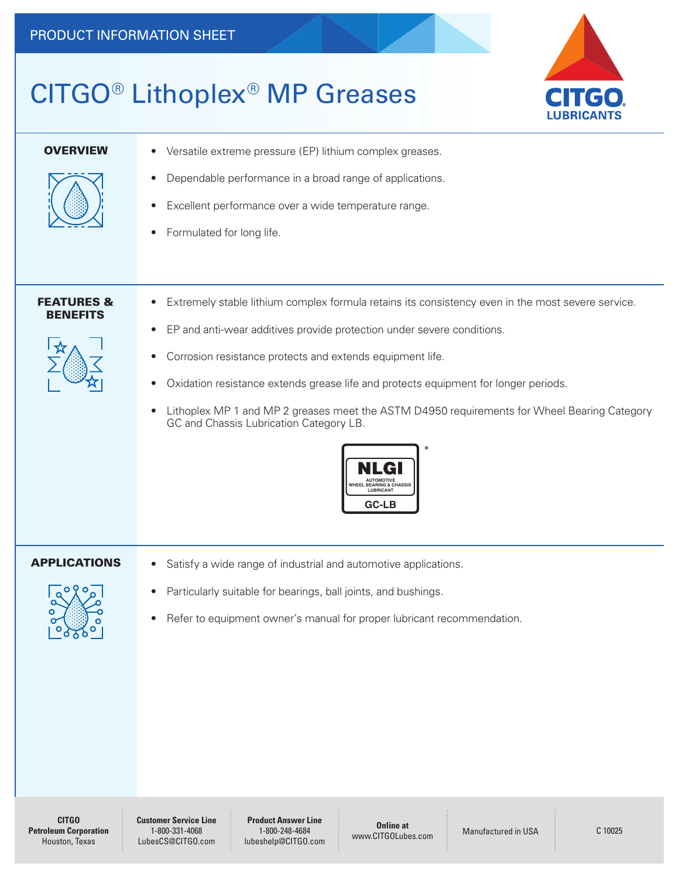## CITGO® Lithoplex® MP Greases



| <b>OVERVIEW</b>                          | Versatile extreme pressure (EP) lithium complex greases.<br>$\bullet$                                                                                                                                                                                                                                                                                                                                                                                                                                                                                                                                                                     |  |  |  |
|------------------------------------------|-------------------------------------------------------------------------------------------------------------------------------------------------------------------------------------------------------------------------------------------------------------------------------------------------------------------------------------------------------------------------------------------------------------------------------------------------------------------------------------------------------------------------------------------------------------------------------------------------------------------------------------------|--|--|--|
|                                          | Dependable performance in a broad range of applications.<br>$\bullet$<br>Excellent performance over a wide temperature range.<br>$\bullet$<br>Formulated for long life.<br>$\bullet$                                                                                                                                                                                                                                                                                                                                                                                                                                                      |  |  |  |
| <b>FEATURES &amp;</b><br><b>BENEFITS</b> | Extremely stable lithium complex formula retains its consistency even in the most severe service.<br>$\bullet$<br>EP and anti-wear additives provide protection under severe conditions.<br>$\bullet$<br>Corrosion resistance protects and extends equipment life.<br>$\bullet$<br>Oxidation resistance extends grease life and protects equipment for longer periods.<br>$\bullet$<br>Lithoplex MP 1 and MP 2 greases meet the ASTM D4950 requirements for Wheel Bearing Category<br>$\bullet$<br>GC and Chassis Lubrication Category LB.<br><b>NUTOMOTIVE</b><br><b>WHEEL BEARING &amp; CHASSIS</b><br><b>LUBRICANT</b><br><b>GC-LB</b> |  |  |  |
| <b>APPLICATIONS</b><br>O 9<br>__⊙⊙       | Satisfy a wide range of industrial and automotive applications.<br>$\bullet$<br>Particularly suitable for bearings, ball joints, and bushings.<br>$\bullet$<br>Refer to equipment owner's manual for proper lubricant recommendation.<br>$\bullet$                                                                                                                                                                                                                                                                                                                                                                                        |  |  |  |

**Customer Service Line** 1-800-331-4068 LubesCS@CITGO.com

**Product Answer Line** 1-800-248-4684 lubeshelp@CITGO.com

**Online at Example at** Manufactured in USA C 10025